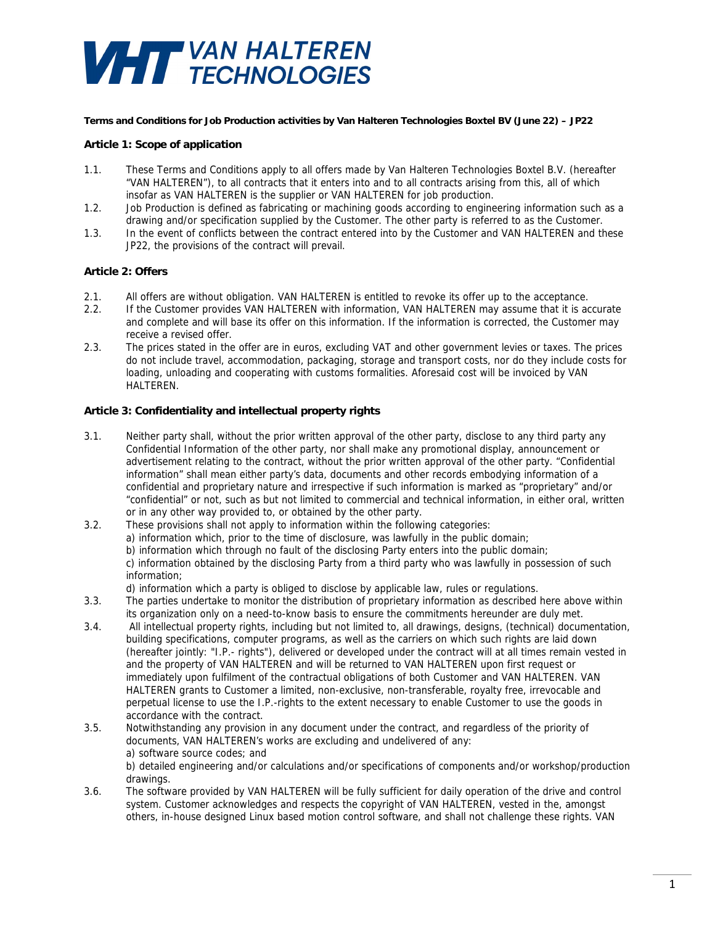# **VHTT** VAN HALTEREN

### **Terms and Conditions for Job Production activities by Van Halteren Technologies Boxtel BV (June 22) – JP22**

## **Article 1: Scope of application**

- 1.1. These Terms and Conditions apply to all offers made by Van Halteren Technologies Boxtel B.V. (hereafter "VAN HALTEREN"), to all contracts that it enters into and to all contracts arising from this, all of which insofar as VAN HALTEREN is the supplier or VAN HALTEREN for job production.
- 1.2. Job Production is defined as fabricating or machining goods according to engineering information such as a drawing and/or specification supplied by the Customer. The other party is referred to as the Customer.
- 1.3. In the event of conflicts between the contract entered into by the Customer and VAN HALTEREN and these JP22, the provisions of the contract will prevail.

### **Article 2: Offers**

- 2.1. All offers are without obligation. VAN HALTEREN is entitled to revoke its offer up to the acceptance.
- 2.2. If the Customer provides VAN HALTEREN with information, VAN HALTEREN may assume that it is accurate and complete and will base its offer on this information. If the information is corrected, the Customer may receive a revised offer.
- 2.3. The prices stated in the offer are in euros, excluding VAT and other government levies or taxes. The prices do not include travel, accommodation, packaging, storage and transport costs, nor do they include costs for loading, unloading and cooperating with customs formalities. Aforesaid cost will be invoiced by VAN HALTEREN.

## **Article 3: Confidentiality and intellectual property rights**

- 3.1. Neither party shall, without the prior written approval of the other party, disclose to any third party any Confidential Information of the other party, nor shall make any promotional display, announcement or advertisement relating to the contract, without the prior written approval of the other party. "Confidential information" shall mean either party's data, documents and other records embodying information of a confidential and proprietary nature and irrespective if such information is marked as "proprietary" and/or "confidential" or not, such as but not limited to commercial and technical information, in either oral, written or in any other way provided to, or obtained by the other party.
- 3.2. These provisions shall not apply to information within the following categories: a) information which, prior to the time of disclosure, was lawfully in the public domain; b) information which through no fault of the disclosing Party enters into the public domain; c) information obtained by the disclosing Party from a third party who was lawfully in possession of such information;

d) information which a party is obliged to disclose by applicable law, rules or regulations.

- 3.3. The parties undertake to monitor the distribution of proprietary information as described here above within its organization only on a need-to-know basis to ensure the commitments hereunder are duly met.
- 3.4. All intellectual property rights, including but not limited to, all drawings, designs, (technical) documentation, building specifications, computer programs, as well as the carriers on which such rights are laid down (hereafter jointly: "I.P.- rights"), delivered or developed under the contract will at all times remain vested in and the property of VAN HALTEREN and will be returned to VAN HALTEREN upon first request or immediately upon fulfilment of the contractual obligations of both Customer and VAN HALTEREN. VAN HALTEREN grants to Customer a limited, non-exclusive, non-transferable, royalty free, irrevocable and perpetual license to use the I.P.-rights to the extent necessary to enable Customer to use the goods in accordance with the contract.
- 3.5. Notwithstanding any provision in any document under the contract, and regardless of the priority of documents, VAN HALTEREN's works are excluding and undelivered of any: a) software source codes; and b) detailed engineering and/or calculations and/or specifications of components and/or workshop/production drawings.
- 3.6. The software provided by VAN HALTEREN will be fully sufficient for daily operation of the drive and control system. Customer acknowledges and respects the copyright of VAN HALTEREN, vested in the, amongst others, in-house designed Linux based motion control software, and shall not challenge these rights. VAN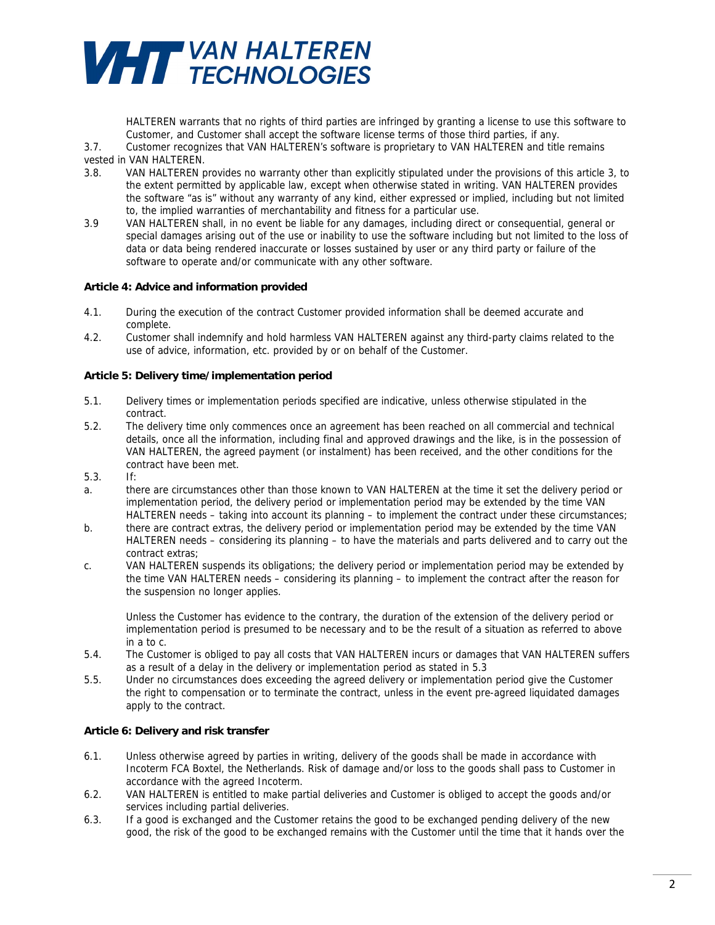# **VHTT** VAN HALTEREN

HALTEREN warrants that no rights of third parties are infringed by granting a license to use this software to Customer, and Customer shall accept the software license terms of those third parties, if any.

3.7. Customer recognizes that VAN HALTEREN's software is proprietary to VAN HALTEREN and title remains vested in VAN HALTEREN.

- 3.8. VAN HALTEREN provides no warranty other than explicitly stipulated under the provisions of this article 3, to the extent permitted by applicable law, except when otherwise stated in writing. VAN HALTEREN provides the software "as is" without any warranty of any kind, either expressed or implied, including but not limited to, the implied warranties of merchantability and fitness for a particular use.
- 3.9 VAN HALTEREN shall, in no event be liable for any damages, including direct or consequential, general or special damages arising out of the use or inability to use the software including but not limited to the loss of data or data being rendered inaccurate or losses sustained by user or any third party or failure of the software to operate and/or communicate with any other software.

## **Article 4: Advice and information provided**

- 4.1. During the execution of the contract Customer provided information shall be deemed accurate and complete.
- 4.2. Customer shall indemnify and hold harmless VAN HALTEREN against any third-party claims related to the use of advice, information, etc. provided by or on behalf of the Customer.

## **Article 5: Delivery time/implementation period**

- 5.1. Delivery times or implementation periods specified are indicative, unless otherwise stipulated in the contract.
- 5.2. The delivery time only commences once an agreement has been reached on all commercial and technical details, once all the information, including final and approved drawings and the like, is in the possession of VAN HALTEREN, the agreed payment (or instalment) has been received, and the other conditions for the contract have been met.
- 5.3. If:
- a. there are circumstances other than those known to VAN HALTEREN at the time it set the delivery period or implementation period, the delivery period or implementation period may be extended by the time VAN HALTEREN needs – taking into account its planning – to implement the contract under these circumstances;
- b. there are contract extras, the delivery period or implementation period may be extended by the time VAN HALTEREN needs – considering its planning – to have the materials and parts delivered and to carry out the contract extras;
- c. VAN HALTEREN suspends its obligations; the delivery period or implementation period may be extended by the time VAN HALTEREN needs – considering its planning – to implement the contract after the reason for the suspension no longer applies.

Unless the Customer has evidence to the contrary, the duration of the extension of the delivery period or implementation period is presumed to be necessary and to be the result of a situation as referred to above in a to c.

- 5.4. The Customer is obliged to pay all costs that VAN HALTEREN incurs or damages that VAN HALTEREN suffers as a result of a delay in the delivery or implementation period as stated in 5.3
- 5.5. Under no circumstances does exceeding the agreed delivery or implementation period give the Customer the right to compensation or to terminate the contract, unless in the event pre-agreed liquidated damages apply to the contract.

## **Article 6: Delivery and risk transfer**

- 6.1. Unless otherwise agreed by parties in writing, delivery of the goods shall be made in accordance with Incoterm FCA Boxtel, the Netherlands. Risk of damage and/or loss to the goods shall pass to Customer in accordance with the agreed Incoterm.
- 6.2. VAN HALTEREN is entitled to make partial deliveries and Customer is obliged to accept the goods and/or services including partial deliveries.
- 6.3. If a good is exchanged and the Customer retains the good to be exchanged pending delivery of the new good, the risk of the good to be exchanged remains with the Customer until the time that it hands over the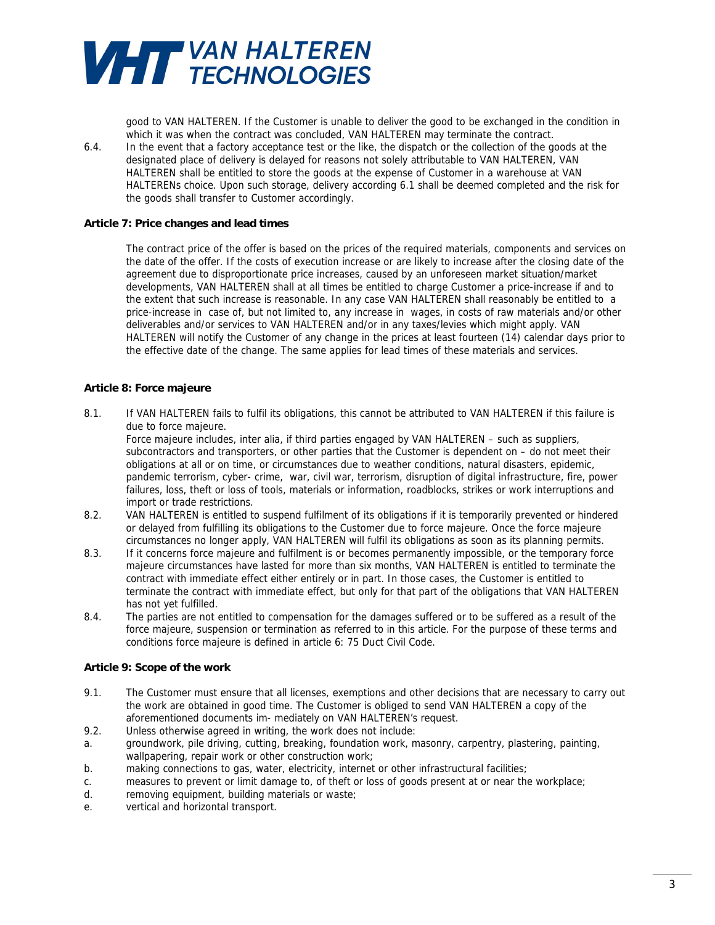

good to VAN HALTEREN. If the Customer is unable to deliver the good to be exchanged in the condition in which it was when the contract was concluded, VAN HALTEREN may terminate the contract. 6.4. In the event that a factory acceptance test or the like, the dispatch or the collection of the goods at the designated place of delivery is delayed for reasons not solely attributable to VAN HALTEREN, VAN HALTEREN shall be entitled to store the goods at the expense of Customer in a warehouse at VAN HALTERENs choice. Upon such storage, delivery according 6.1 shall be deemed completed and the risk for the goods shall transfer to Customer accordingly.

### **Article 7: Price changes and lead times**

The contract price of the offer is based on the prices of the required materials, components and services on the date of the offer. If the costs of execution increase or are likely to increase after the closing date of the agreement due to disproportionate price increases, caused by an unforeseen market situation/market developments, VAN HALTEREN shall at all times be entitled to charge Customer a price-increase if and to the extent that such increase is reasonable. In any case VAN HALTEREN shall reasonably be entitled to a price-increase in case of, but not limited to, any increase in wages, in costs of raw materials and/or other deliverables and/or services to VAN HALTEREN and/or in any taxes/levies which might apply. VAN HALTEREN will notify the Customer of any change in the prices at least fourteen (14) calendar days prior to the effective date of the change. The same applies for lead times of these materials and services.

## **Article 8: Force majeure**

8.1. If VAN HALTEREN fails to fulfil its obligations, this cannot be attributed to VAN HALTEREN if this failure is due to force majeure.

Force majeure includes, inter alia, if third parties engaged by VAN HALTEREN – such as suppliers, subcontractors and transporters, or other parties that the Customer is dependent on – do not meet their obligations at all or on time, or circumstances due to weather conditions, natural disasters, epidemic, pandemic terrorism, cyber- crime, war, civil war, terrorism, disruption of digital infrastructure, fire, power failures, loss, theft or loss of tools, materials or information, roadblocks, strikes or work interruptions and import or trade restrictions.

- 8.2. VAN HALTEREN is entitled to suspend fulfilment of its obligations if it is temporarily prevented or hindered or delayed from fulfilling its obligations to the Customer due to force majeure. Once the force majeure circumstances no longer apply, VAN HALTEREN will fulfil its obligations as soon as its planning permits.
- 8.3. If it concerns force majeure and fulfilment is or becomes permanently impossible, or the temporary force majeure circumstances have lasted for more than six months, VAN HALTEREN is entitled to terminate the contract with immediate effect either entirely or in part. In those cases, the Customer is entitled to terminate the contract with immediate effect, but only for that part of the obligations that VAN HALTEREN has not yet fulfilled.
- 8.4. The parties are not entitled to compensation for the damages suffered or to be suffered as a result of the force majeure, suspension or termination as referred to in this article. For the purpose of these terms and conditions force majeure is defined in article 6: 75 Duct Civil Code.

## **Article 9: Scope of the work**

- 9.1. The Customer must ensure that all licenses, exemptions and other decisions that are necessary to carry out the work are obtained in good time. The Customer is obliged to send VAN HALTEREN a copy of the aforementioned documents im- mediately on VAN HALTEREN's request.
- 9.2. Unless otherwise agreed in writing, the work does not include:
- a. groundwork, pile driving, cutting, breaking, foundation work, masonry, carpentry, plastering, painting, wallpapering, repair work or other construction work;
- b. making connections to gas, water, electricity, internet or other infrastructural facilities;
- c. measures to prevent or limit damage to, of theft or loss of goods present at or near the workplace;
- d. removing equipment, building materials or waste;
- e. vertical and horizontal transport.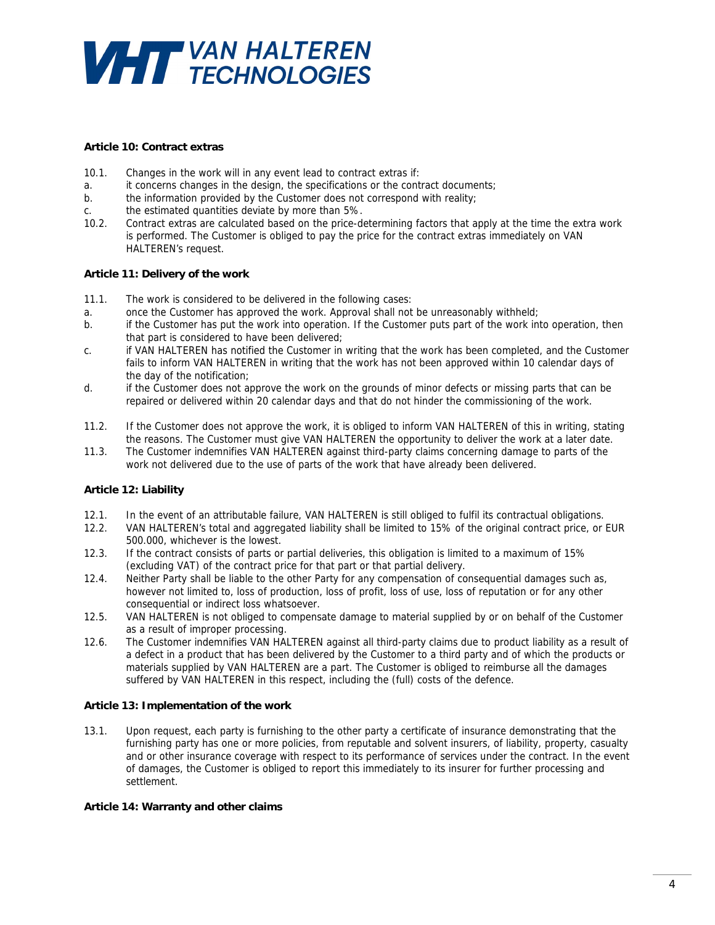

### **Article 10: Contract extras**

- 10.1. Changes in the work will in any event lead to contract extras if:
- a. it concerns changes in the design, the specifications or the contract documents;
- b. the information provided by the Customer does not correspond with reality;
- c. the estimated quantities deviate by more than 5%.
- 10.2. Contract extras are calculated based on the price-determining factors that apply at the time the extra work is performed. The Customer is obliged to pay the price for the contract extras immediately on VAN HALTEREN's request.

#### **Article 11: Delivery of the work**

- 11.1. The work is considered to be delivered in the following cases:
- a. once the Customer has approved the work. Approval shall not be unreasonably withheld;
- b. if the Customer has put the work into operation. If the Customer puts part of the work into operation, then that part is considered to have been delivered;
- c. if VAN HALTEREN has notified the Customer in writing that the work has been completed, and the Customer fails to inform VAN HALTEREN in writing that the work has not been approved within 10 calendar days of the day of the notification;
- d. if the Customer does not approve the work on the grounds of minor defects or missing parts that can be repaired or delivered within 20 calendar days and that do not hinder the commissioning of the work.
- 11.2. If the Customer does not approve the work, it is obliged to inform VAN HALTEREN of this in writing, stating the reasons. The Customer must give VAN HALTEREN the opportunity to deliver the work at a later date.
- 11.3. The Customer indemnifies VAN HALTEREN against third-party claims concerning damage to parts of the work not delivered due to the use of parts of the work that have already been delivered.

### **Article 12: Liability**

- 12.1. In the event of an attributable failure, VAN HALTEREN is still obliged to fulfil its contractual obligations.
- 12.2. VAN HALTEREN's total and aggregated liability shall be limited to 15% of the original contract price, or EUR 500.000, whichever is the lowest.
- 12.3. If the contract consists of parts or partial deliveries, this obligation is limited to a maximum of 15% (excluding VAT) of the contract price for that part or that partial delivery.
- 12.4. Neither Party shall be liable to the other Party for any compensation of consequential damages such as, however not limited to, loss of production, loss of profit, loss of use, loss of reputation or for any other consequential or indirect loss whatsoever.
- 12.5. VAN HALTEREN is not obliged to compensate damage to material supplied by or on behalf of the Customer as a result of improper processing.
- 12.6. The Customer indemnifies VAN HALTEREN against all third-party claims due to product liability as a result of a defect in a product that has been delivered by the Customer to a third party and of which the products or materials supplied by VAN HALTEREN are a part. The Customer is obliged to reimburse all the damages suffered by VAN HALTEREN in this respect, including the (full) costs of the defence.

#### **Article 13: Implementation of the work**

13.1. Upon request, each party is furnishing to the other party a certificate of insurance demonstrating that the furnishing party has one or more policies, from reputable and solvent insurers, of liability, property, casualty and or other insurance coverage with respect to its performance of services under the contract. In the event of damages, the Customer is obliged to report this immediately to its insurer for further processing and settlement.

### **Article 14: Warranty and other claims**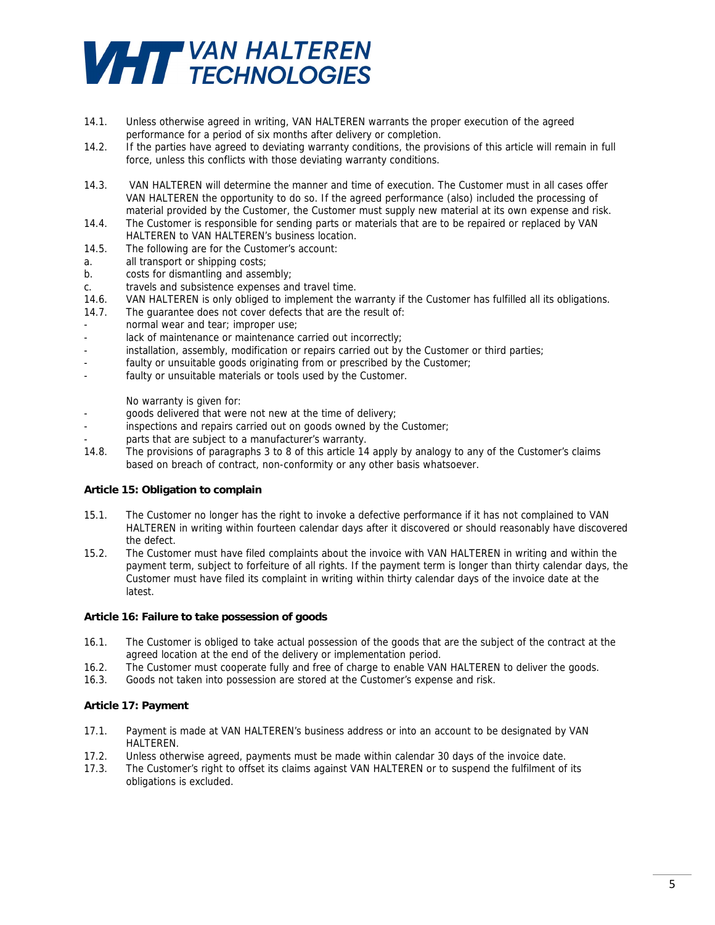

- 14.1. Unless otherwise agreed in writing, VAN HALTEREN warrants the proper execution of the agreed performance for a period of six months after delivery or completion.
- 14.2. If the parties have agreed to deviating warranty conditions, the provisions of this article will remain in full force, unless this conflicts with those deviating warranty conditions.
- 14.3. VAN HALTEREN will determine the manner and time of execution. The Customer must in all cases offer VAN HALTEREN the opportunity to do so. If the agreed performance (also) included the processing of material provided by the Customer, the Customer must supply new material at its own expense and risk.
- 14.4. The Customer is responsible for sending parts or materials that are to be repaired or replaced by VAN HALTEREN to VAN HALTEREN's business location.
- 14.5. The following are for the Customer's account:
- a. all transport or shipping costs;
- b. costs for dismantling and assembly;
- c. travels and subsistence expenses and travel time.
- 14.6. VAN HALTEREN is only obliged to implement the warranty if the Customer has fulfilled all its obligations.
- 14.7. The guarantee does not cover defects that are the result of:
- normal wear and tear; improper use;
- lack of maintenance or maintenance carried out incorrectly;
- installation, assembly, modification or repairs carried out by the Customer or third parties;
- faulty or unsuitable goods originating from or prescribed by the Customer;
- faulty or unsuitable materials or tools used by the Customer.

No warranty is given for:

- goods delivered that were not new at the time of delivery;
- inspections and repairs carried out on goods owned by the Customer;
- parts that are subject to a manufacturer's warranty.
- 14.8. The provisions of paragraphs 3 to 8 of this article 14 apply by analogy to any of the Customer's claims based on breach of contract, non-conformity or any other basis whatsoever.

### **Article 15: Obligation to complain**

- 15.1. The Customer no longer has the right to invoke a defective performance if it has not complained to VAN HALTEREN in writing within fourteen calendar days after it discovered or should reasonably have discovered the defect.
- 15.2. The Customer must have filed complaints about the invoice with VAN HALTEREN in writing and within the payment term, subject to forfeiture of all rights. If the payment term is longer than thirty calendar days, the Customer must have filed its complaint in writing within thirty calendar days of the invoice date at the latest.

#### **Article 16: Failure to take possession of goods**

- 16.1. The Customer is obliged to take actual possession of the goods that are the subject of the contract at the agreed location at the end of the delivery or implementation period.
- 16.2. The Customer must cooperate fully and free of charge to enable VAN HALTEREN to deliver the goods.
- 16.3. Goods not taken into possession are stored at the Customer's expense and risk.

#### **Article 17: Payment**

- 17.1. Payment is made at VAN HALTEREN's business address or into an account to be designated by VAN HALTEREN.
- 17.2. Unless otherwise agreed, payments must be made within calendar 30 days of the invoice date.
- 17.3. The Customer's right to offset its claims against VAN HALTEREN or to suspend the fulfilment of its obligations is excluded.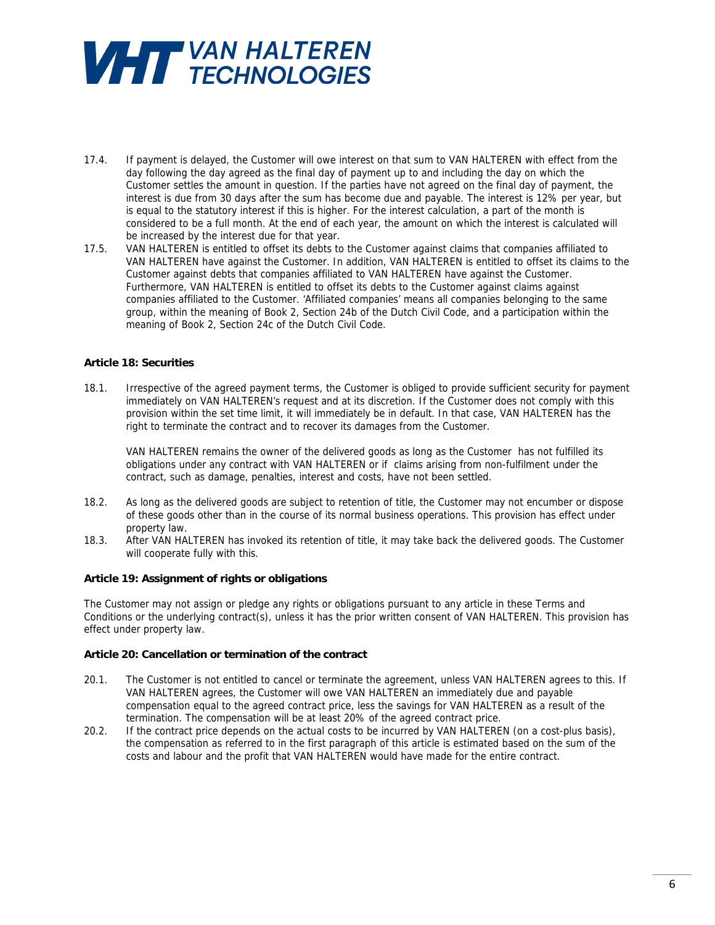

- 17.4. If payment is delayed, the Customer will owe interest on that sum to VAN HALTEREN with effect from the day following the day agreed as the final day of payment up to and including the day on which the Customer settles the amount in question. If the parties have not agreed on the final day of payment, the interest is due from 30 days after the sum has become due and payable. The interest is 12% per year, but is equal to the statutory interest if this is higher. For the interest calculation, a part of the month is considered to be a full month. At the end of each year, the amount on which the interest is calculated will be increased by the interest due for that year.
- 17.5. VAN HALTEREN is entitled to offset its debts to the Customer against claims that companies affiliated to VAN HALTEREN have against the Customer. In addition, VAN HALTEREN is entitled to offset its claims to the Customer against debts that companies affiliated to VAN HALTEREN have against the Customer. Furthermore, VAN HALTEREN is entitled to offset its debts to the Customer against claims against companies affiliated to the Customer. 'Affiliated companies' means all companies belonging to the same group, within the meaning of Book 2, Section 24b of the Dutch Civil Code, and a participation within the meaning of Book 2, Section 24c of the Dutch Civil Code.

## **Article 18: Securities**

18.1. Irrespective of the agreed payment terms, the Customer is obliged to provide sufficient security for payment immediately on VAN HALTEREN's request and at its discretion. If the Customer does not comply with this provision within the set time limit, it will immediately be in default. In that case, VAN HALTEREN has the right to terminate the contract and to recover its damages from the Customer.

VAN HALTEREN remains the owner of the delivered goods as long as the Customer has not fulfilled its obligations under any contract with VAN HALTEREN or if claims arising from non-fulfilment under the contract, such as damage, penalties, interest and costs, have not been settled.

- 18.2. As long as the delivered goods are subject to retention of title, the Customer may not encumber or dispose of these goods other than in the course of its normal business operations. This provision has effect under property law.
- 18.3. After VAN HALTEREN has invoked its retention of title, it may take back the delivered goods. The Customer will cooperate fully with this.

### **Article 19: Assignment of rights or obligations**

The Customer may not assign or pledge any rights or obligations pursuant to any article in these Terms and Conditions or the underlying contract(s), unless it has the prior written consent of VAN HALTEREN. This provision has effect under property law.

## **Article 20: Cancellation or termination of the contract**

- 20.1. The Customer is not entitled to cancel or terminate the agreement, unless VAN HALTEREN agrees to this. If VAN HALTEREN agrees, the Customer will owe VAN HALTEREN an immediately due and payable compensation equal to the agreed contract price, less the savings for VAN HALTEREN as a result of the termination. The compensation will be at least 20% of the agreed contract price.
- 20.2. If the contract price depends on the actual costs to be incurred by VAN HALTEREN (on a cost-plus basis), the compensation as referred to in the first paragraph of this article is estimated based on the sum of the costs and labour and the profit that VAN HALTEREN would have made for the entire contract.